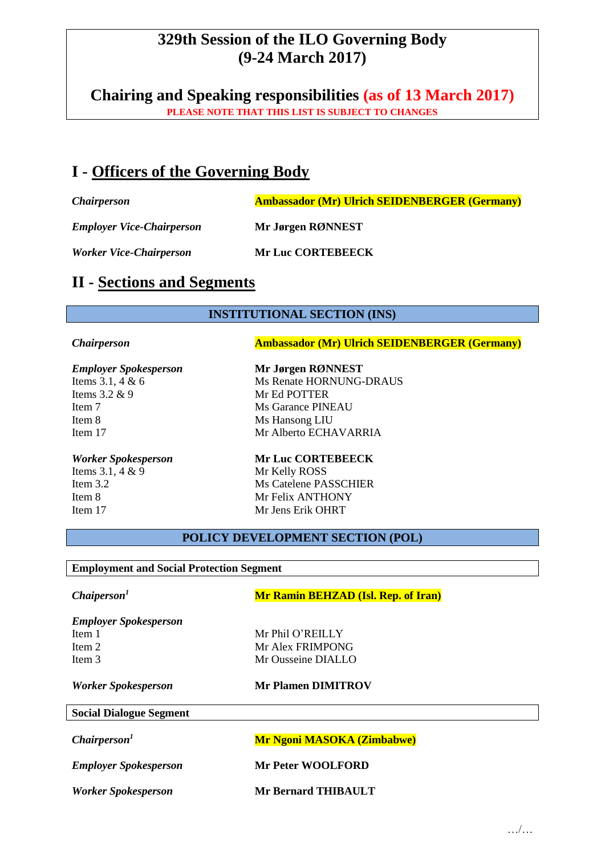# **329th Session of the ILO Governing Body (9-24 March 2017)**

**Chairing and Speaking responsibilities (as of 13 March 2017) PLEASE NOTE THAT THIS LIST IS SUBJECT TO CHANGES**

# **I - Officers of the Governing Body**

**Chairperson Ambassador (Mr) Ulrich SEIDENBERGER (Germany)** 

*Employer Vice-Chairperson* **Mr Jørgen RØNNEST**

*Worker Vice-Chairperson* **Mr Luc CORTEBEECK**

## **II - Sections and Segments**

## **INSTITUTIONAL SECTION (INS)**

**Chairperson Ambassador (Mr) Ulrich SEIDENBERGER (Germany)** 

### *Employer Spokesperson* **Mr Jørgen RØNNEST**

Items 3.2 & 9 Mr Ed POTTER Item 8 Ms Hansong LIU

Items 3.1, 4 & 9 Mr Kelly ROSS

Items 3.1, 4 & 6 Ms Renate HORNUNG-DRAUS Item 7 Ms Garance PINEAU

Item 17 Mr Alberto ECHAVARRIA

## *Worker Spokesperson* **Mr Luc CORTEBEECK** Item 3.2 Ms Catelene PASSCHIER Item 8 Mr Felix ANTHONY Item 17 Mr Jens Erik OHRT

**POLICY DEVELOPMENT SECTION (POL)**

#### **Employment and Social Protection Segment**

*Worker Spokesperson* **Mr Bernard THIBAULT**

| Chaiperson <sup>1</sup>        | <b>Mr Ramin BEHZAD (Isl. Rep. of Iran)</b> |
|--------------------------------|--------------------------------------------|
| <b>Employer Spokesperson</b>   |                                            |
| Item 1                         | Mr Phil O'REILLY                           |
| Item 2                         | Mr Alex FRIMPONG                           |
| Item 3                         | Mr Ousseine DIALLO                         |
| Worker Spokesperson            | <b>Mr Plamen DIMITROV</b>                  |
| <b>Social Dialogue Segment</b> |                                            |
| Chairperson <sup>1</sup>       | <b>Mr Ngoni MASOKA (Zimbabwe)</b>          |
| <b>Employer Spokesperson</b>   | <b>Mr Peter WOOLFORD</b>                   |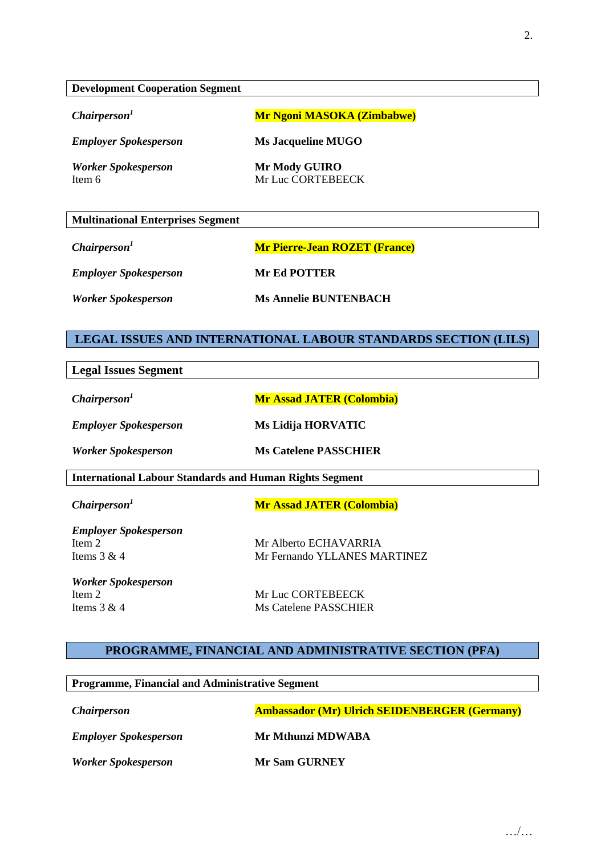#### **Development Cooperation Segment**

**Chairperson<sup>1</sup> <b>Mr Ngoni MASOKA (Zimbabwe)** 

*Employer Spokesperson* **Ms Jacqueline MUGO**

*Worker Spokesperson* **Mr Mody GUIRO**

Item 6 Mr Luc CORTEBEECK

| <b>Multinational Enterprises Segment</b> |                                      |
|------------------------------------------|--------------------------------------|
| Chairperson <sup>1</sup>                 | <b>Mr Pierre-Jean ROZET (France)</b> |
| <b>Employer Spokesperson</b>             | <b>Mr Ed POTTER</b>                  |
| <b>Worker Spokesperson</b>               | <b>Ms Annelie BUNTENBACH</b>         |

### **LEGAL ISSUES AND INTERNATIONAL LABOUR STANDARDS SECTION (LILS)**

| <b>Legal Issues Segment</b>                                    |                                  |
|----------------------------------------------------------------|----------------------------------|
| Chairperson <sup>1</sup>                                       | <b>Mr Assad JATER (Colombia)</b> |
| <b>Employer Spokesperson</b>                                   | Ms Lidija HORVATIC               |
| <b>Worker Spokesperson</b>                                     | <b>Ms Catelene PASSCHIER</b>     |
| <b>International Labour Standards and Human Rights Segment</b> |                                  |
| Chairperson <sup>1</sup>                                       | <b>Mr Assad JATER (Colombia)</b> |
| <b>Employer Spokesperson</b>                                   |                                  |
| Item 2                                                         | Mr Alberto ECHAVARRIA            |
| Items $3 & 4$                                                  | Mr Fernando YLLANES MARTINEZ     |
| <b>Worker Spokesperson</b>                                     |                                  |
| Item 2                                                         | Mr Luc CORTEBEECK                |
| Items $3 & 4$                                                  | Ms Catelene PASSCHIER            |

**PROGRAMME, FINANCIAL AND ADMINISTRATIVE SECTION (PFA)**

| <b>Programme, Financial and Administrative Segment</b> |                                                      |  |
|--------------------------------------------------------|------------------------------------------------------|--|
| <i>Chairperson</i>                                     | <b>Ambassador (Mr) Ulrich SEIDENBERGER (Germany)</b> |  |
| <b>Employer Spokesperson</b>                           | Mr Mthunzi MDWABA                                    |  |
| <b>Worker Spokesperson</b>                             | <b>Mr Sam GURNEY</b>                                 |  |